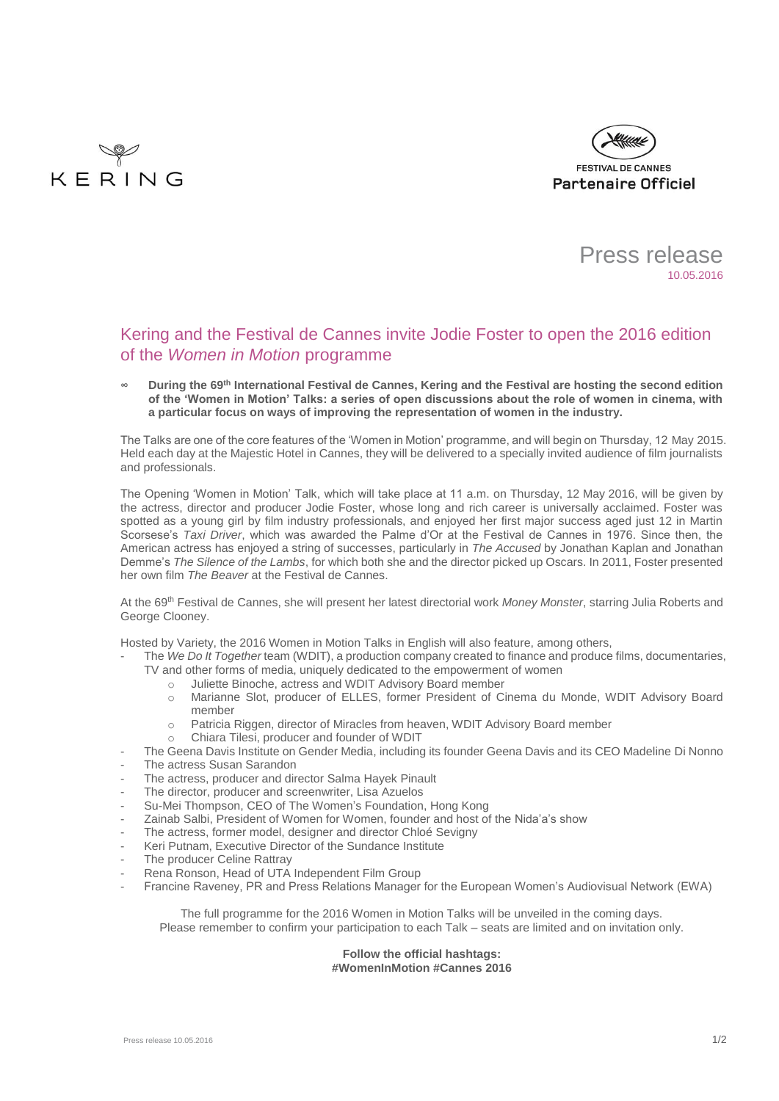





# Kering and the Festival de Cannes invite Jodie Foster to open the 2016 edition of the *Women in Motion* programme

**∞ During the 69th International Festival de Cannes, Kering and the Festival are hosting the second edition of the 'Women in Motion' Talks: a series of open discussions about the role of women in cinema, with a particular focus on ways of improving the representation of women in the industry.**

The Talks are one of the core features of the 'Women in Motion' programme, and will begin on Thursday, 12 May 2015. Held each day at the Majestic Hotel in Cannes, they will be delivered to a specially invited audience of film journalists and professionals.

The Opening 'Women in Motion' Talk, which will take place at 11 a.m. on Thursday, 12 May 2016, will be given by the actress, director and producer Jodie Foster, whose long and rich career is universally acclaimed. Foster was spotted as a young girl by film industry professionals, and enjoyed her first major success aged just 12 in Martin Scorsese's *Taxi Driver*, which was awarded the Palme d'Or at the Festival de Cannes in 1976. Since then, the American actress has enjoyed a string of successes, particularly in *The Accused* by Jonathan Kaplan and Jonathan Demme's *The Silence of the Lambs*, for which both she and the director picked up Oscars. In 2011, Foster presented her own film *The Beaver* at the Festival de Cannes.

At the 69th Festival de Cannes, she will present her latest directorial work *Money Monster*, starring Julia Roberts and George Clooney.

Hosted by Variety, the 2016 Women in Motion Talks in English will also feature, among others,

- The *We Do It Together* team (WDIT), a production company created to finance and produce films, documentaries, TV and other forms of media, uniquely dedicated to the empowerment of women
	- o Juliette Binoche, actress and WDIT Advisory Board member
	- o Marianne Slot, producer of ELLES, former President of Cinema du Monde, WDIT Advisory Board member
	- o Patricia Riggen, director of Miracles from heaven, WDIT Advisory Board member
	- Chiara Tilesi, producer and founder of WDIT
	- The Geena Davis Institute on Gender Media, including its founder Geena Davis and its CEO Madeline Di Nonno
- The actress Susan Sarandon
- The actress, producer and director Salma Hayek Pinault
- The director, producer and screenwriter, Lisa Azuelos
- Su-Mei Thompson, CEO of The Women's Foundation, Hong Kong
- Zainab Salbi, President of Women for Women, founder and host of the Nida'a's show
- The actress, former model, designer and director Chloé Sevigny
- Keri Putnam, Executive Director of the Sundance Institute
- The producer Celine Rattray
- Rena Ronson, Head of UTA Independent Film Group
- Francine Raveney, PR and Press Relations Manager for the European Women's Audiovisual Network (EWA)

The full programme for the 2016 Women in Motion Talks will be unveiled in the coming days. Please remember to confirm your participation to each Talk – seats are limited and on invitation only.

## **Follow the official hashtags: #WomenInMotion #Cannes 2016**